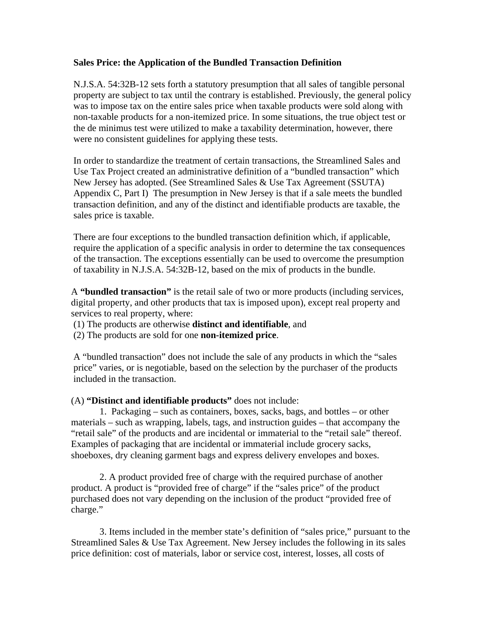## **Sales Price: the Application of the Bundled Transaction Definition**

N.J.S.A. 54:32B-12 sets forth a statutory presumption that all sales of tangible personal property are subject to tax until the contrary is established. Previously, the general policy was to impose tax on the entire sales price when taxable products were sold along with non-taxable products for a non-itemized price. In some situations, the true object test or the de minimus test were utilized to make a taxability determination, however, there were no consistent guidelines for applying these tests.

In order to standardize the treatment of certain transactions, the Streamlined Sales and Use Tax Project created an administrative definition of a "bundled transaction" which New Jersey has adopted. (See Streamlined Sales & Use Tax Agreement (SSUTA) Appendix C, Part I) The presumption in New Jersey is that if a sale meets the bundled transaction definition, and any of the distinct and identifiable products are taxable, the sales price is taxable.

There are four exceptions to the bundled transaction definition which, if applicable, require the application of a specific analysis in order to determine the tax consequences of the transaction. The exceptions essentially can be used to overcome the presumption of taxability in N.J.S.A. 54:32B-12, based on the mix of products in the bundle.

A **"bundled transaction"** is the retail sale of two or more products (including services, digital property, and other products that tax is imposed upon), except real property and services to real property, where:

- (1) The products are otherwise **distinct and identifiable**, and
- (2) The products are sold for one **non-itemized price**.

A "bundled transaction" does not include the sale of any products in which the "sales price" varies, or is negotiable, based on the selection by the purchaser of the products included in the transaction.

(A) **"Distinct and identifiable products"** does not include:

1. Packaging – such as containers, boxes, sacks, bags, and bottles – or other materials – such as wrapping, labels, tags, and instruction guides – that accompany the "retail sale" of the products and are incidental or immaterial to the "retail sale" thereof. Examples of packaging that are incidental or immaterial include grocery sacks, shoeboxes, dry cleaning garment bags and express delivery envelopes and boxes.

2. A product provided free of charge with the required purchase of another product. A product is "provided free of charge" if the "sales price" of the product purchased does not vary depending on the inclusion of the product "provided free of charge."

3. Items included in the member state's definition of "sales price," pursuant to the Streamlined Sales & Use Tax Agreement. New Jersey includes the following in its sales price definition: cost of materials, labor or service cost, interest, losses, all costs of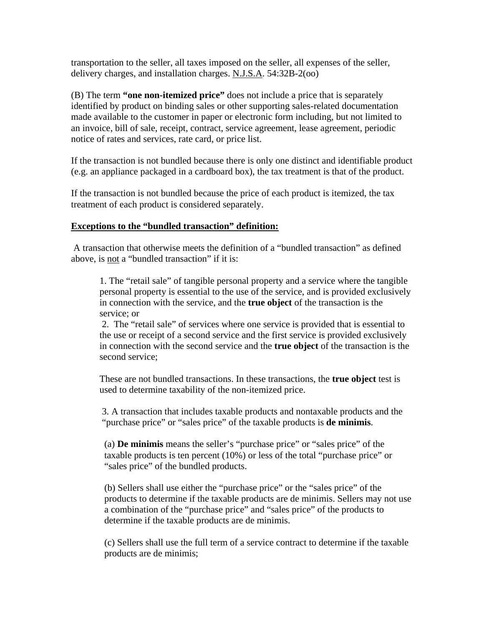transportation to the seller, all taxes imposed on the seller, all expenses of the seller, delivery charges, and installation charges. N.J.S.A. 54:32B-2(oo)

(B) The term **"one non-itemized price"** does not include a price that is separately identified by product on binding sales or other supporting sales-related documentation made available to the customer in paper or electronic form including, but not limited to an invoice, bill of sale, receipt, contract, service agreement, lease agreement, periodic notice of rates and services, rate card, or price list.

If the transaction is not bundled because there is only one distinct and identifiable product (e.g. an appliance packaged in a cardboard box), the tax treatment is that of the product.

If the transaction is not bundled because the price of each product is itemized, the tax treatment of each product is considered separately.

## **Exceptions to the "bundled transaction" definition:**

 A transaction that otherwise meets the definition of a "bundled transaction" as defined above, is not a "bundled transaction" if it is:

1. The "retail sale" of tangible personal property and a service where the tangible personal property is essential to the use of the service, and is provided exclusively in connection with the service, and the **true object** of the transaction is the service; or

 2. The "retail sale" of services where one service is provided that is essential to the use or receipt of a second service and the first service is provided exclusively in connection with the second service and the **true object** of the transaction is the second service;

These are not bundled transactions. In these transactions, the **true object** test is used to determine taxability of the non-itemized price.

3. A transaction that includes taxable products and nontaxable products and the "purchase price" or "sales price" of the taxable products is **de minimis**.

(a) **De minimis** means the seller's "purchase price" or "sales price" of the taxable products is ten percent (10%) or less of the total "purchase price" or "sales price" of the bundled products.

(b) Sellers shall use either the "purchase price" or the "sales price" of the products to determine if the taxable products are de minimis. Sellers may not use a combination of the "purchase price" and "sales price" of the products to determine if the taxable products are de minimis.

(c) Sellers shall use the full term of a service contract to determine if the taxable products are de minimis;